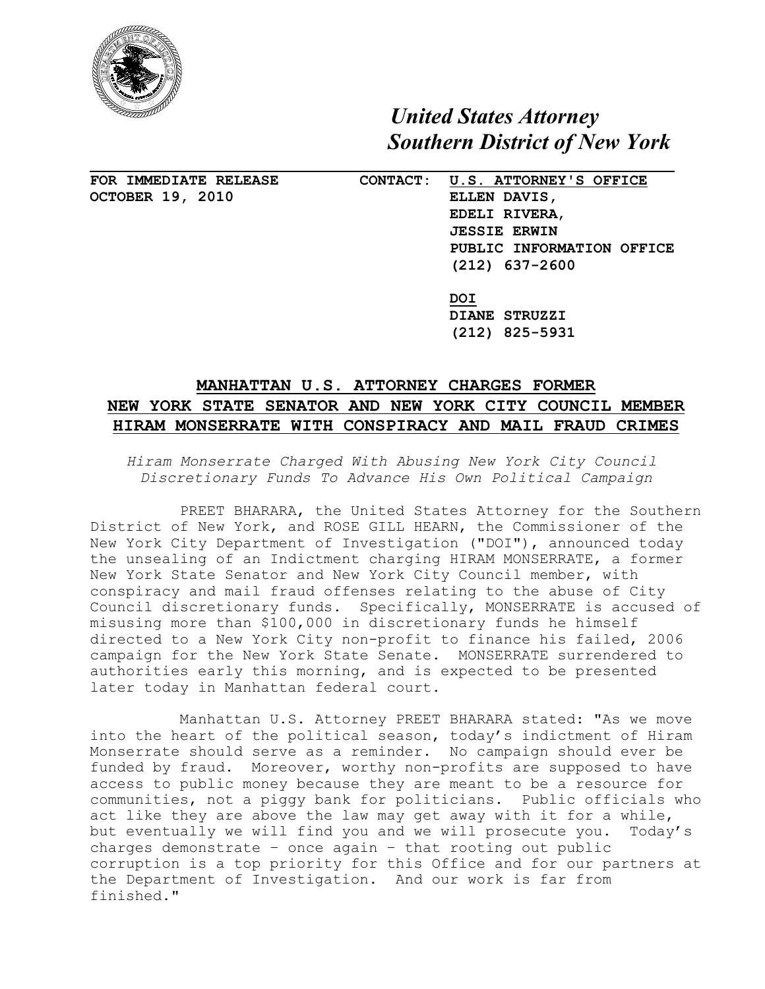

# *United States Attorney Southern District of New York*

**OCTOBER 19, 2010 ELLEN DAVIS,**

### **FOR IMMEDIATE RELEASE CONTACT: U.S. ATTORNEY'S OFFICE**

**EDELI RIVERA**, **JESSIE ERWIN PUBLIC INFORMATION OFFICE (212) 637-2600**

**DOI DIANE STRUZZI (212) 825-5931**

## **MANHATTAN U.S. ATTORNEY CHARGES FORMER NEW YORK STATE SENATOR AND NEW YORK CITY COUNCIL MEMBER HIRAM MONSERRATE WITH CONSPIRACY AND MAIL FRAUD CRIMES**

*Hiram Monserrate Charged With Abusing New York City Council Discretionary Funds To Advance His Own Political Campaign*

PREET BHARARA, the United States Attorney for the Southern District of New York, and ROSE GILL HEARN, the Commissioner of the New York City Department of Investigation ("DOI"), announced today the unsealing of an Indictment charging HIRAM MONSERRATE, a former New York State Senator and New York City Council member, with conspiracy and mail fraud offenses relating to the abuse of City Council discretionary funds. Specifically, MONSERRATE is accused of misusing more than \$100,000 in discretionary funds he himself directed to a New York City non-profit to finance his failed, 2006 campaign for the New York State Senate. MONSERRATE surrendered to authorities early this morning, and is expected to be presented later today in Manhattan federal court.

Manhattan U.S. Attorney PREET BHARARA stated: "As we move into the heart of the political season, today's indictment of Hiram Monserrate should serve as a reminder. No campaign should ever be funded by fraud. Moreover, worthy non-profits are supposed to have access to public money because they are meant to be a resource for communities, not a piggy bank for politicians. Public officials who act like they are above the law may get away with it for a while, but eventually we will find you and we will prosecute you. Today's charges demonstrate – once again – that rooting out public corruption is a top priority for this Office and for our partners at the Department of Investigation. And our work is far from finished."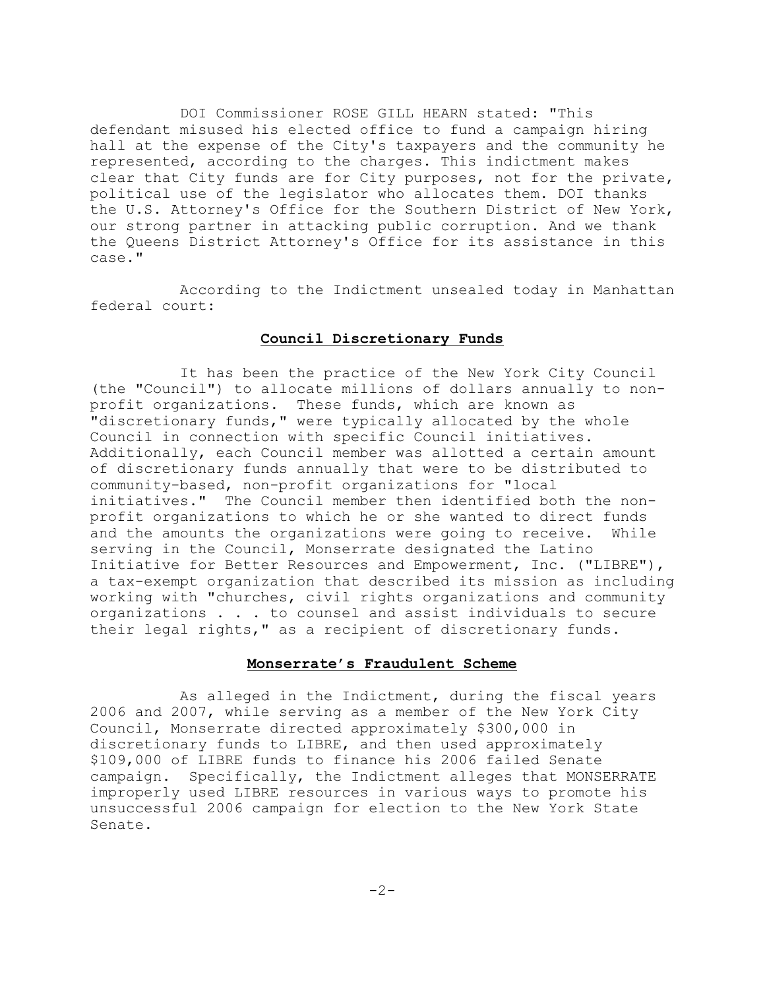DOI Commissioner ROSE GILL HEARN stated: "This defendant misused his elected office to fund a campaign hiring hall at the expense of the City's taxpayers and the community he represented, according to the charges. This indictment makes clear that City funds are for City purposes, not for the private, political use of the legislator who allocates them. DOI thanks the U.S. Attorney's Office for the Southern District of New York, our strong partner in attacking public corruption. And we thank the Queens District Attorney's Office for its assistance in this case."

According to the Indictment unsealed today in Manhattan federal court:

### **Council Discretionary Funds**

It has been the practice of the New York City Council (the "Council") to allocate millions of dollars annually to nonprofit organizations. These funds, which are known as "discretionary funds," were typically allocated by the whole Council in connection with specific Council initiatives. Additionally, each Council member was allotted a certain amount of discretionary funds annually that were to be distributed to community-based, non-profit organizations for "local initiatives." The Council member then identified both the nonprofit organizations to which he or she wanted to direct funds and the amounts the organizations were going to receive. While serving in the Council, Monserrate designated the Latino Initiative for Better Resources and Empowerment, Inc. ("LIBRE"), a tax-exempt organization that described its mission as including working with "churches, civil rights organizations and community organizations . . . to counsel and assist individuals to secure their legal rights," as a recipient of discretionary funds.

#### **Monserrate's Fraudulent Scheme**

As alleged in the Indictment, during the fiscal years 2006 and 2007, while serving as a member of the New York City Council, Monserrate directed approximately \$300,000 in discretionary funds to LIBRE, and then used approximately \$109,000 of LIBRE funds to finance his 2006 failed Senate campaign. Specifically, the Indictment alleges that MONSERRATE improperly used LIBRE resources in various ways to promote his unsuccessful 2006 campaign for election to the New York State Senate.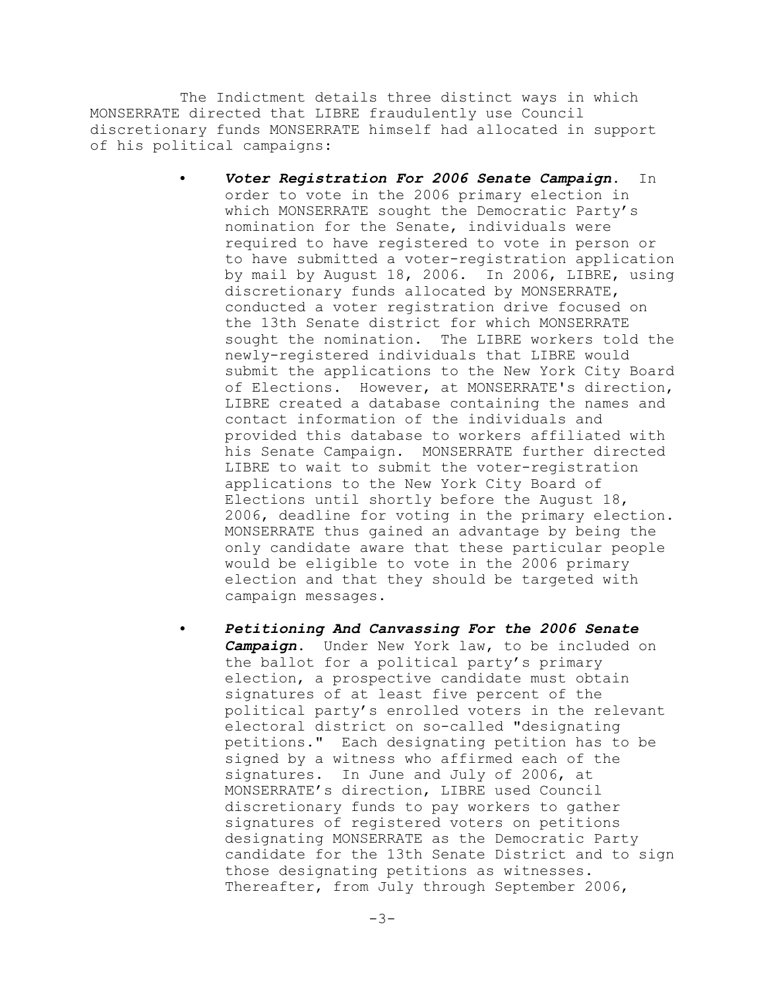The Indictment details three distinct ways in which MONSERRATE directed that LIBRE fraudulently use Council discretionary funds MONSERRATE himself had allocated in support of his political campaigns:

- Voter Registration For 2006 Senate Campaign. In order to vote in the 2006 primary election in which MONSERRATE sought the Democratic Party's nomination for the Senate, individuals were required to have registered to vote in person or to have submitted a voter-registration application by mail by August 18, 2006. In 2006, LIBRE, using discretionary funds allocated by MONSERRATE, conducted a voter registration drive focused on the 13th Senate district for which MONSERRATE sought the nomination. The LIBRE workers told the newly-registered individuals that LIBRE would submit the applications to the New York City Board of Elections. However, at MONSERRATE's direction, LIBRE created a database containing the names and contact information of the individuals and provided this database to workers affiliated with his Senate Campaign. MONSERRATE further directed LIBRE to wait to submit the voter-registration applications to the New York City Board of Elections until shortly before the August 18, 2006, deadline for voting in the primary election. MONSERRATE thus gained an advantage by being the only candidate aware that these particular people would be eligible to vote in the 2006 primary election and that they should be targeted with campaign messages.
- Petitioning And Canvassing For the 2006 Senate *Campaign*. Under New York law, to be included on the ballot for a political party's primary election, a prospective candidate must obtain signatures of at least five percent of the political party's enrolled voters in the relevant electoral district on so-called "designating petitions." Each designating petition has to be signed by a witness who affirmed each of the signatures. In June and July of 2006, at MONSERRATE's direction, LIBRE used Council discretionary funds to pay workers to gather signatures of registered voters on petitions designating MONSERRATE as the Democratic Party candidate for the 13th Senate District and to sign those designating petitions as witnesses. Thereafter, from July through September 2006,